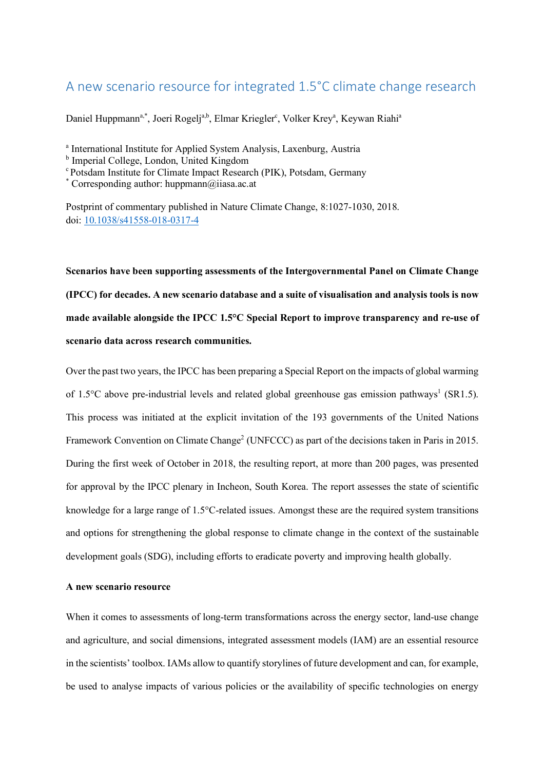# A new scenario resource for integrated 1.5°C climate change research

Daniel Huppmann<sup>a,\*</sup>, Joeri Rogelj<sup>a,b</sup>, Elmar Kriegler<sup>c</sup>, Volker Krey<sup>a</sup>, Keywan Riahi<sup>a</sup>

<sup>a</sup> International Institute for Applied System Analysis, Laxenburg, Austria

<sup>b</sup> Imperial College, London, United Kingdom

c Potsdam Institute for Climate Impact Research (PIK), Potsdam, Germany

\* Corresponding author: huppmann@iiasa.ac.at

Postprint of commentary published in Nature Climate Change, 8:1027-1030, 2018. doi: 10.1038/s41558-018-0317-4

**Scenarios have been supporting assessments of the Intergovernmental Panel on Climate Change (IPCC) for decades. A new scenario database and a suite of visualisation and analysis tools is now made available alongside the IPCC 1.5°C Special Report to improve transparency and re-use of scenario data across research communities.** 

Over the past two years, the IPCC has been preparing a Special Report on the impacts of global warming of 1.5°C above pre-industrial levels and related global greenhouse gas emission pathways<sup>1</sup> (SR1.5). This process was initiated at the explicit invitation of the 193 governments of the United Nations Framework Convention on Climate Change<sup>2</sup> (UNFCCC) as part of the decisions taken in Paris in 2015. During the first week of October in 2018, the resulting report, at more than 200 pages, was presented for approval by the IPCC plenary in Incheon, South Korea. The report assesses the state of scientific knowledge for a large range of 1.5°C-related issues. Amongst these are the required system transitions and options for strengthening the global response to climate change in the context of the sustainable development goals (SDG), including efforts to eradicate poverty and improving health globally.

#### **A new scenario resource**

When it comes to assessments of long-term transformations across the energy sector, land-use change and agriculture, and social dimensions, integrated assessment models (IAM) are an essential resource in the scientists' toolbox. IAMs allow to quantify storylines of future development and can, for example, be used to analyse impacts of various policies or the availability of specific technologies on energy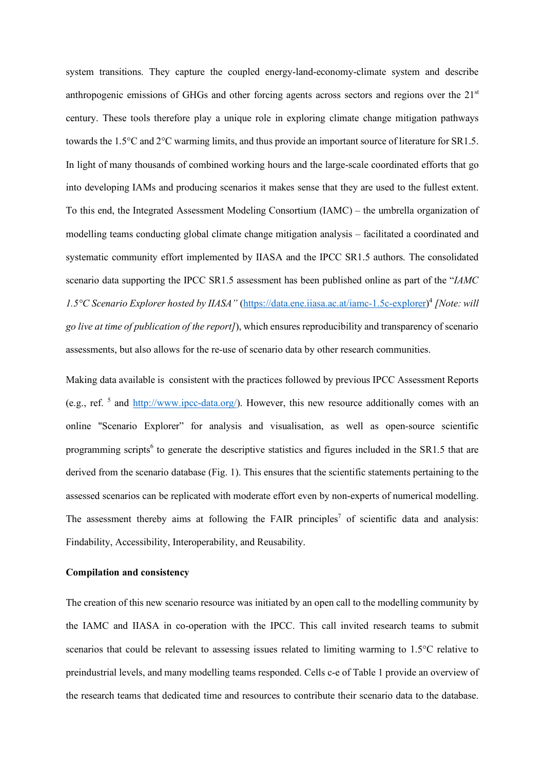system transitions. They capture the coupled energy-land-economy-climate system and describe anthropogenic emissions of GHGs and other forcing agents across sectors and regions over the 21<sup>st</sup> century. These tools therefore play a unique role in exploring climate change mitigation pathways towards the 1.5°C and 2°C warming limits, and thus provide an important source of literature for SR1.5. In light of many thousands of combined working hours and the large-scale coordinated efforts that go into developing IAMs and producing scenarios it makes sense that they are used to the fullest extent. To this end, the Integrated Assessment Modeling Consortium (IAMC) – the umbrella organization of modelling teams conducting global climate change mitigation analysis – facilitated a coordinated and systematic community effort implemented by IIASA and the IPCC SR1.5 authors. The consolidated scenario data supporting the IPCC SR1.5 assessment has been published online as part of the "*IAMC 1.5°C Scenario Explorer hosted by IIASA"* (https://data.ene.iiasa.ac.at/iamc-1.5c-explorer) <sup>4</sup> *[Note: will go live at time of publication of the report]*), which ensures reproducibility and transparency of scenario assessments, but also allows for the re-use of scenario data by other research communities.

Making data available is consistent with the practices followed by previous IPCC Assessment Reports (e.g., ref.  $^5$  and http://www.ipcc-data.org/). However, this new resource additionally comes with an online "Scenario Explorer" for analysis and visualisation, as well as open-source scientific programming scripts<sup>6</sup> to generate the descriptive statistics and figures included in the SR1.5 that are derived from the scenario database (Fig. 1). This ensures that the scientific statements pertaining to the assessed scenarios can be replicated with moderate effort even by non-experts of numerical modelling. The assessment thereby aims at following the FAIR principles<sup>7</sup> of scientific data and analysis: Findability, Accessibility, Interoperability, and Reusability.

#### **Compilation and consistency**

The creation of this new scenario resource was initiated by an open call to the modelling community by the IAMC and IIASA in co-operation with the IPCC. This call invited research teams to submit scenarios that could be relevant to assessing issues related to limiting warming to 1.5°C relative to preindustrial levels, and many modelling teams responded. Cells c-e of Table 1 provide an overview of the research teams that dedicated time and resources to contribute their scenario data to the database.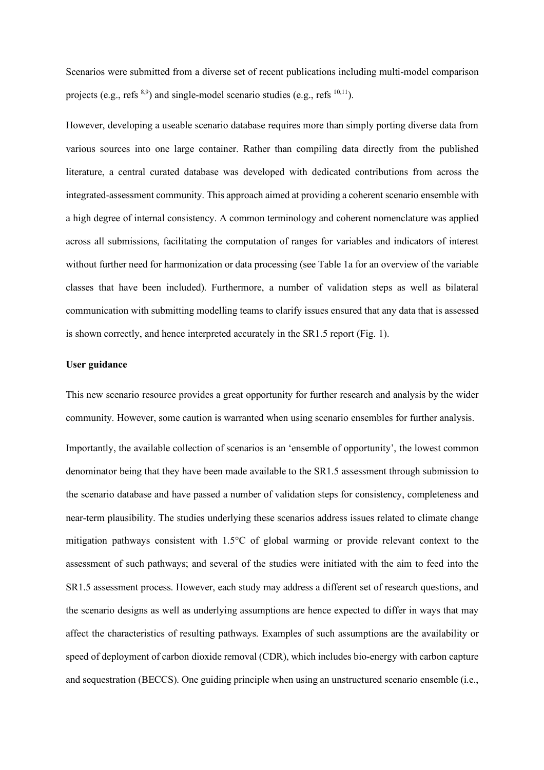Scenarios were submitted from a diverse set of recent publications including multi-model comparison projects (e.g., refs  $^{8,9}$ ) and single-model scenario studies (e.g., refs  $^{10,11}$ ).

However, developing a useable scenario database requires more than simply porting diverse data from various sources into one large container. Rather than compiling data directly from the published literature, a central curated database was developed with dedicated contributions from across the integrated-assessment community. This approach aimed at providing a coherent scenario ensemble with a high degree of internal consistency. A common terminology and coherent nomenclature was applied across all submissions, facilitating the computation of ranges for variables and indicators of interest without further need for harmonization or data processing (see Table 1a for an overview of the variable classes that have been included). Furthermore, a number of validation steps as well as bilateral communication with submitting modelling teams to clarify issues ensured that any data that is assessed is shown correctly, and hence interpreted accurately in the SR1.5 report (Fig. 1).

#### **User guidance**

This new scenario resource provides a great opportunity for further research and analysis by the wider community. However, some caution is warranted when using scenario ensembles for further analysis.

Importantly, the available collection of scenarios is an 'ensemble of opportunity', the lowest common denominator being that they have been made available to the SR1.5 assessment through submission to the scenario database and have passed a number of validation steps for consistency, completeness and near-term plausibility. The studies underlying these scenarios address issues related to climate change mitigation pathways consistent with 1.5°C of global warming or provide relevant context to the assessment of such pathways; and several of the studies were initiated with the aim to feed into the SR1.5 assessment process. However, each study may address a different set of research questions, and the scenario designs as well as underlying assumptions are hence expected to differ in ways that may affect the characteristics of resulting pathways. Examples of such assumptions are the availability or speed of deployment of carbon dioxide removal (CDR), which includes bio-energy with carbon capture and sequestration (BECCS). One guiding principle when using an unstructured scenario ensemble (i.e.,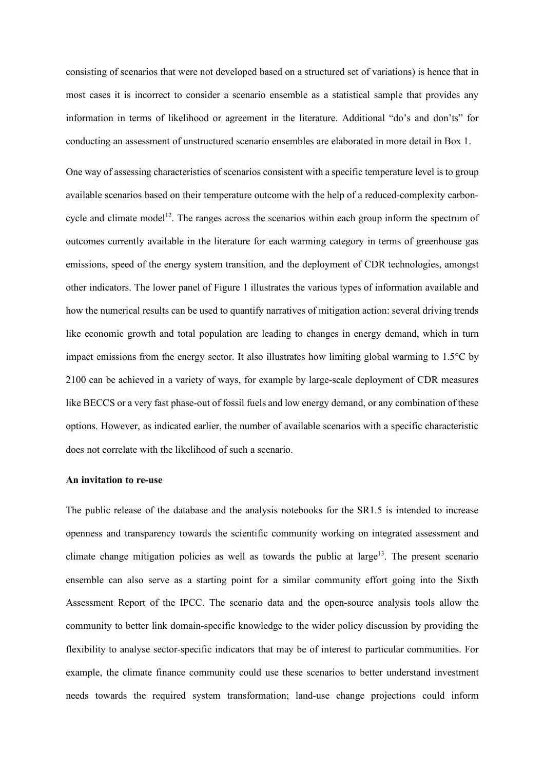consisting of scenarios that were not developed based on a structured set of variations) is hence that in most cases it is incorrect to consider a scenario ensemble as a statistical sample that provides any information in terms of likelihood or agreement in the literature. Additional "do's and don'ts" for conducting an assessment of unstructured scenario ensembles are elaborated in more detail in Box 1.

One way of assessing characteristics of scenarios consistent with a specific temperature level is to group available scenarios based on their temperature outcome with the help of a reduced-complexity carboncycle and climate model<sup>12</sup>. The ranges across the scenarios within each group inform the spectrum of outcomes currently available in the literature for each warming category in terms of greenhouse gas emissions, speed of the energy system transition, and the deployment of CDR technologies, amongst other indicators. The lower panel of Figure 1 illustrates the various types of information available and how the numerical results can be used to quantify narratives of mitigation action: several driving trends like economic growth and total population are leading to changes in energy demand, which in turn impact emissions from the energy sector. It also illustrates how limiting global warming to 1.5°C by 2100 can be achieved in a variety of ways, for example by large-scale deployment of CDR measures like BECCS or a very fast phase-out of fossil fuels and low energy demand, or any combination of these options. However, as indicated earlier, the number of available scenarios with a specific characteristic does not correlate with the likelihood of such a scenario.

#### **An invitation to re-use**

The public release of the database and the analysis notebooks for the SR1.5 is intended to increase openness and transparency towards the scientific community working on integrated assessment and climate change mitigation policies as well as towards the public at large<sup>13</sup>. The present scenario ensemble can also serve as a starting point for a similar community effort going into the Sixth Assessment Report of the IPCC. The scenario data and the open-source analysis tools allow the community to better link domain-specific knowledge to the wider policy discussion by providing the flexibility to analyse sector-specific indicators that may be of interest to particular communities. For example, the climate finance community could use these scenarios to better understand investment needs towards the required system transformation; land-use change projections could inform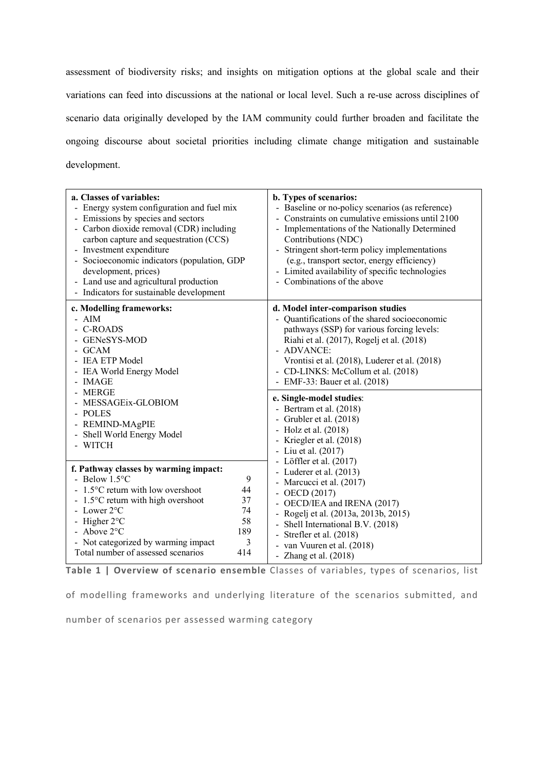assessment of biodiversity risks; and insights on mitigation options at the global scale and their variations can feed into discussions at the national or local level. Such a re-use across disciplines of scenario data originally developed by the IAM community could further broaden and facilitate the ongoing discourse about societal priorities including climate change mitigation and sustainable development.

| a. Classes of variables:<br>- Energy system configuration and fuel mix<br>Emissions by species and sectors<br>$\overline{\phantom{a}}$<br>- Carbon dioxide removal (CDR) including<br>carbon capture and sequestration (CCS)<br>Investment expenditure<br>$\overline{\phantom{0}}$<br>Socioeconomic indicators (population, GDP<br>development, prices)<br>- Land use and agricultural production<br>- Indicators for sustainable development | b. Types of scenarios:<br>- Baseline or no-policy scenarios (as reference)<br>- Constraints on cumulative emissions until 2100<br>- Implementations of the Nationally Determined<br>Contributions (NDC)<br>Stringent short-term policy implementations<br>(e.g., transport sector, energy efficiency)<br>- Limited availability of specific technologies<br>- Combinations of the above                                                                                                                                                                                                                                                                                                                                                                                                      |
|-----------------------------------------------------------------------------------------------------------------------------------------------------------------------------------------------------------------------------------------------------------------------------------------------------------------------------------------------------------------------------------------------------------------------------------------------|----------------------------------------------------------------------------------------------------------------------------------------------------------------------------------------------------------------------------------------------------------------------------------------------------------------------------------------------------------------------------------------------------------------------------------------------------------------------------------------------------------------------------------------------------------------------------------------------------------------------------------------------------------------------------------------------------------------------------------------------------------------------------------------------|
| c. Modelling frameworks:<br>- AIM<br><b>C-ROADS</b><br>GENeSYS-MOD<br><b>GCAM</b><br>- IEA ETP Model<br>- IEA World Energy Model<br>- IMAGE                                                                                                                                                                                                                                                                                                   | d. Model inter-comparison studies<br>- Quantifications of the shared socioeconomic<br>pathways (SSP) for various forcing levels:<br>Riahi et al. (2017), Rogelj et al. (2018)<br>- ADVANCE:<br>Vrontisi et al. (2018), Luderer et al. (2018)<br>- CD-LINKS: McCollum et al. (2018)<br>- EMF-33: Bauer et al. (2018)<br>e. Single-model studies:<br>- Bertram et al. (2018)<br>- Grubler et al. (2018)<br>- Holz et al. $(2018)$<br>- Kriegler et al. (2018)<br>- Liu et al. (2017)<br>- Löffler et al. $(2017)$<br>- Luderer et al. $(2013)$<br>- Marcucci et al. (2017)<br>- OECD $(2017)$<br>OECD/IEA and IRENA (2017)<br>- Rogelj et al. (2013a, 2013b, 2015)<br>- Shell International B.V. (2018)<br>- Strefler et al. $(2018)$<br>- van Vuuren et al. (2018)<br>- Zhang et al. $(2018)$ |
| MERGE<br>MESSAGEix-GLOBIOM<br><b>POLES</b><br>REMIND-MAgPIE<br>Shell World Energy Model<br>- WITCH                                                                                                                                                                                                                                                                                                                                            |                                                                                                                                                                                                                                                                                                                                                                                                                                                                                                                                                                                                                                                                                                                                                                                              |
| f. Pathway classes by warming impact:<br>- Below $1.5^{\circ}$ C<br>9<br>- 1.5°C return with low overshoot<br>44<br>- 1.5°C return with high overshoot<br>37<br>- Lower $2^{\circ}$ C<br>74<br>- Higher $2^{\circ}$ C<br>58<br>- Above $2^{\circ}$ C<br>189<br>- Not categorized by warming impact<br>3<br>Total number of assessed scenarios<br>414                                                                                          |                                                                                                                                                                                                                                                                                                                                                                                                                                                                                                                                                                                                                                                                                                                                                                                              |

**Table 1 | Overview of scenario ensemble** Classes of variables, types of scenarios, list

of modelling frameworks and underlying literature of the scenarios submitted, and number of scenarios per assessed warming category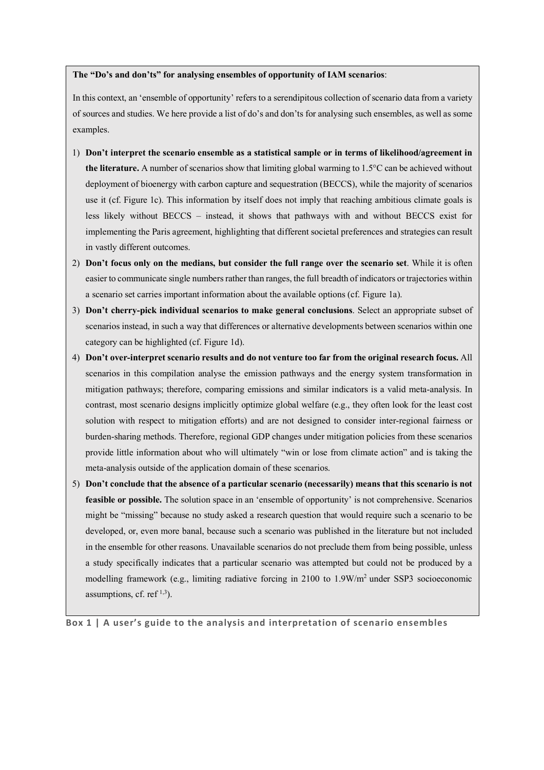#### **The "Do's and don'ts" for analysing ensembles of opportunity of IAM scenarios**:

In this context, an 'ensemble of opportunity' refers to a serendipitous collection of scenario data from a variety of sources and studies. We here provide a list of do's and don'ts for analysing such ensembles, as well as some examples.

- 1) **Don't interpret the scenario ensemble as a statistical sample or in terms of likelihood/agreement in the literature.** A number of scenarios show that limiting global warming to 1.5°C can be achieved without deployment of bioenergy with carbon capture and sequestration (BECCS), while the majority of scenarios use it (cf. Figure 1c). This information by itself does not imply that reaching ambitious climate goals is less likely without BECCS – instead, it shows that pathways with and without BECCS exist for implementing the Paris agreement, highlighting that different societal preferences and strategies can result in vastly different outcomes.
- 2) **Don't focus only on the medians, but consider the full range over the scenario set**. While it is often easier to communicate single numbers rather than ranges, the full breadth of indicators or trajectories within a scenario set carries important information about the available options (cf. Figure 1a).
- 3) **Don't cherry-pick individual scenarios to make general conclusions**. Select an appropriate subset of scenarios instead, in such a way that differences or alternative developments between scenarios within one category can be highlighted (cf. Figure 1d).
- 4) **Don't over-interpret scenario results and do not venture too far from the original research focus.** All scenarios in this compilation analyse the emission pathways and the energy system transformation in mitigation pathways; therefore, comparing emissions and similar indicators is a valid meta-analysis. In contrast, most scenario designs implicitly optimize global welfare (e.g., they often look for the least cost solution with respect to mitigation efforts) and are not designed to consider inter-regional fairness or burden-sharing methods. Therefore, regional GDP changes under mitigation policies from these scenarios provide little information about who will ultimately "win or lose from climate action" and is taking the meta-analysis outside of the application domain of these scenarios.
- 5) **Don't conclude that the absence of a particular scenario (necessarily) means that this scenario is not feasible or possible.** The solution space in an 'ensemble of opportunity' is not comprehensive. Scenarios might be "missing" because no study asked a research question that would require such a scenario to be developed, or, even more banal, because such a scenario was published in the literature but not included in the ensemble for other reasons. Unavailable scenarios do not preclude them from being possible, unless a study specifically indicates that a particular scenario was attempted but could not be produced by a modelling framework (e.g., limiting radiative forcing in 2100 to 1.9W/m2 under SSP3 socioeconomic assumptions, cf. ref<sup> $1,3$ </sup>).

**Box 1 | A user's guide to the analysis and interpretation of scenario ensembles**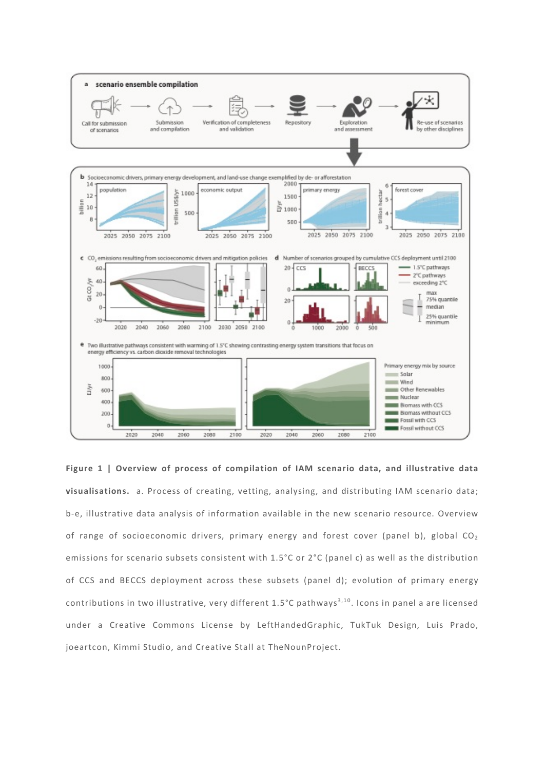

**Figure 1 | Overview of process of compilation of IAM scenario data, and illustrative data visualisations.** a. Process of creating, vetting, analysing, and distributing IAM scenario data; b-e, illustrative data analysis of information available in the new scenario resource. Overview of range of socioeconomic drivers, primary energy and forest cover (panel b), global  $CO<sub>2</sub>$ emissions for scenario subsets consistent with 1.5°C or 2°C (panel c) as well as the distribution of CCS and BECCS deployment across these subsets (panel d); evolution of primary energy contributions in two illustrative, very different  $1.5^{\circ}$ C pathways<sup>3,10</sup>. Icons in panel a are licensed under a Creative Commons License by LeftHandedGraphic, TukTuk Design, Luis Prado, joeartcon, Kimmi Studio, and Creative Stall at TheNounProject.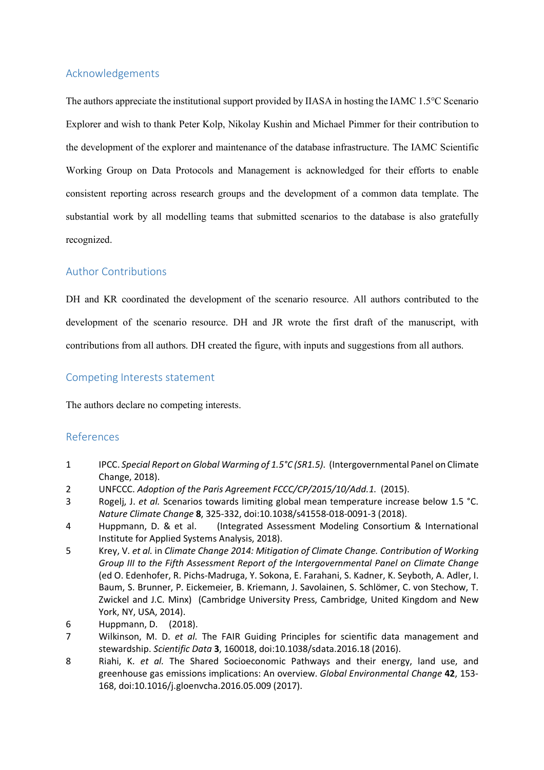# Acknowledgements

The authors appreciate the institutional support provided by IIASA in hosting the IAMC 1.5°C Scenario Explorer and wish to thank Peter Kolp, Nikolay Kushin and Michael Pimmer for their contribution to the development of the explorer and maintenance of the database infrastructure. The IAMC Scientific Working Group on Data Protocols and Management is acknowledged for their efforts to enable consistent reporting across research groups and the development of a common data template. The substantial work by all modelling teams that submitted scenarios to the database is also gratefully recognized.

# Author Contributions

DH and KR coordinated the development of the scenario resource. All authors contributed to the development of the scenario resource. DH and JR wrote the first draft of the manuscript, with contributions from all authors. DH created the figure, with inputs and suggestions from all authors.

### Competing Interests statement

The authors declare no competing interests.

### References

- 1 IPCC. *Special Report on Global Warming of 1.5°C (SR1.5)*. (Intergovernmental Panel on Climate Change, 2018).
- 2 UNFCCC. *Adoption of the Paris Agreement FCCC/CP/2015/10/Add.1*. (2015).
- 3 Rogelj, J. *et al.* Scenarios towards limiting global mean temperature increase below 1.5 °C. *Nature Climate Change* **8**, 325-332, doi:10.1038/s41558-018-0091-3 (2018).
- 4 Huppmann, D. & et al. (Integrated Assessment Modeling Consortium & International Institute for Applied Systems Analysis, 2018).
- 5 Krey, V. *et al.* in *Climate Change 2014: Mitigation of Climate Change. Contribution of Working Group III to the Fifth Assessment Report of the Intergovernmental Panel on Climate Change* (ed O. Edenhofer, R. Pichs-Madruga, Y. Sokona, E. Farahani, S. Kadner, K. Seyboth, A. Adler, I. Baum, S. Brunner, P. Eickemeier, B. Kriemann, J. Savolainen, S. Schlömer, C. von Stechow, T. Zwickel and J.C. Minx) (Cambridge University Press, Cambridge, United Kingdom and New York, NY, USA, 2014).
- 6 Huppmann, D. (2018).
- 7 Wilkinson, M. D. *et al.* The FAIR Guiding Principles for scientific data management and stewardship. *Scientific Data* **3**, 160018, doi:10.1038/sdata.2016.18 (2016).
- 8 Riahi, K. *et al.* The Shared Socioeconomic Pathways and their energy, land use, and greenhouse gas emissions implications: An overview. *Global Environmental Change* **42**, 153- 168, doi:10.1016/j.gloenvcha.2016.05.009 (2017).